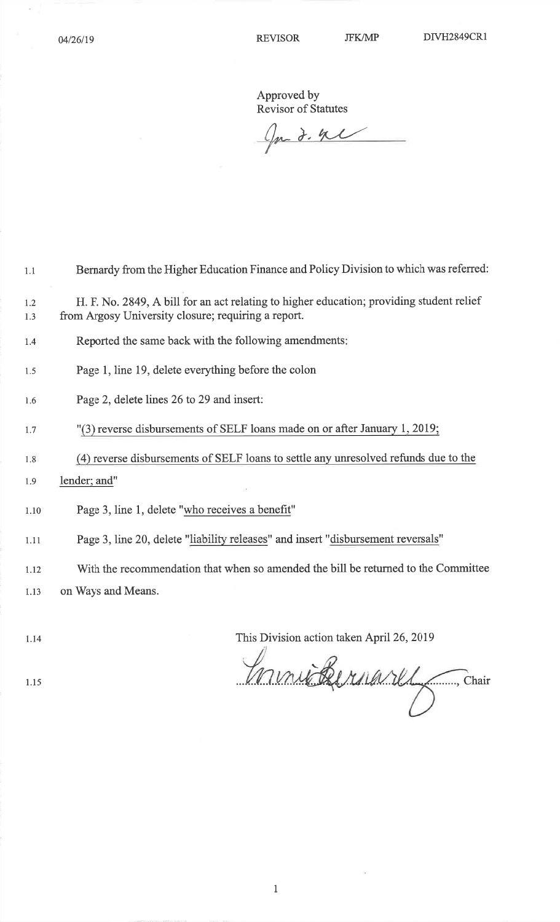Approved byRevisor of Statutes

 $\int_{\mathcal{P}}\frac{\partial}{\partial t}\cdot \mathcal{P}(t)dt$ 

1.1Bernardy from the Higher Education Finance and Policy Division to which was referred:

1.21.3H. F. No. 2849, A bill for an act relating to higher education; providing student relieffrom Argosy University closure; requiring a report.

- Reported the same back with the following amendmentst.4
- Page 1, line 19, delete everything before the colon1.5
- Page 2, delete lines 26 to 29 and insert:1.6
- "(3) reverse disbursements of SELF loans made on or after January 1, 2019: 1.7
- (4) reverse disbursements of SELF loans to settle any unresolved refunds due to the1.8
- lender; and"1.9
- Page 3, line 1, delete "<u>who receives a benefit</u>' 1.10
- Page 3, line 20, delete "liability releases" and insert "disbursement reversals" 1.11
- With the recommendation that when so amended the bill be returned to the Committee 1.12

 $\mathbf{1}$ I

on Ways and Means.1.13

1.14

This Division action taken April 26,2019

Vonnicherunard Chair

T.I5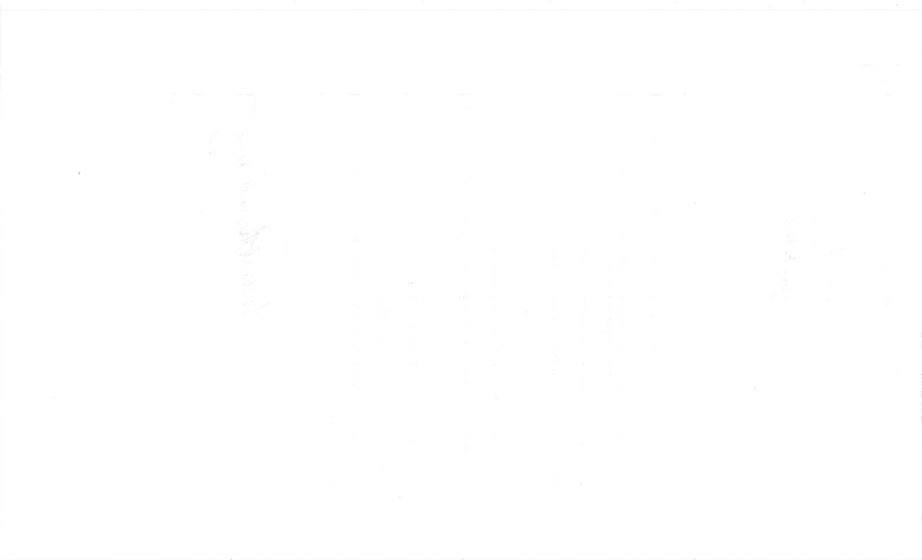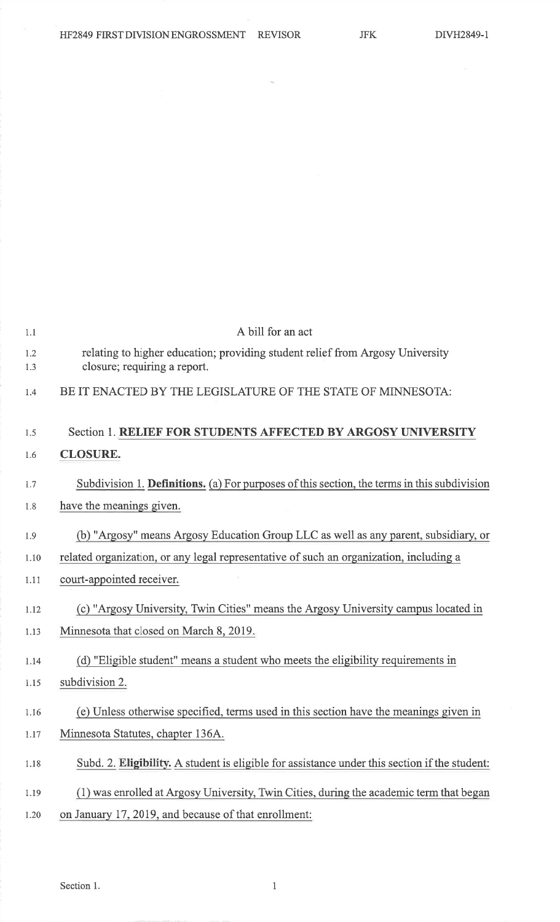$\mathcal{D}_{\mathcal{G}}$ 

| 1.1        | A bill for an act                                                                                             |
|------------|---------------------------------------------------------------------------------------------------------------|
| 1.2<br>1.3 | relating to higher education; providing student relief from Argosy University<br>closure; requiring a report. |
| 1.4        | BE IT ENACTED BY THE LEGISLATURE OF THE STATE OF MINNESOTA:                                                   |
| 1.5        | Section 1. RELIEF FOR STUDENTS AFFECTED BY ARGOSY UNIVERSITY                                                  |
| 1.6        | <b>CLOSURE.</b>                                                                                               |
| 1.7        | Subdivision 1. Definitions. (a) For purposes of this section, the terms in this subdivision                   |
| 1.8        | have the meanings given.                                                                                      |
| 1.9        | (b) "Argosy" means Argosy Education Group LLC as well as any parent, subsidiary, or                           |
| 1.10       | related organization, or any legal representative of such an organization, including a                        |
| 1.11       | court-appointed receiver.                                                                                     |
| 1.12       | (c) "Argosy University, Twin Cities" means the Argosy University campus located in                            |
| 1.13       | Minnesota that closed on March 8, 2019.                                                                       |
| 1.14       | (d) "Eligible student" means a student who meets the eligibility requirements in                              |
| 1.15       | subdivision 2.                                                                                                |
| 1.16       | (e) Unless otherwise specified, terms used in this section have the meanings given in                         |
| 1.17       | Minnesota Statutes, chapter 136A.                                                                             |
| 1.18       | Subd. 2. Eligibility. A student is eligible for assistance under this section if the student:                 |
| 1.19       | (1) was enrolled at Argosy University, Twin Cities, during the academic term that began                       |
| 1.20       | on January 17, 2019, and because of that enrollment:                                                          |

Section 1.  $\mathbf{1}$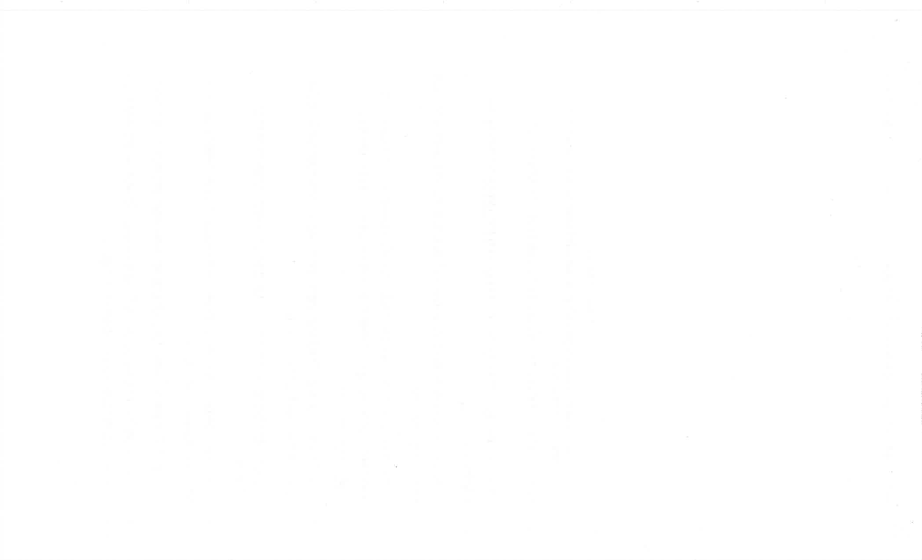and the state of the con-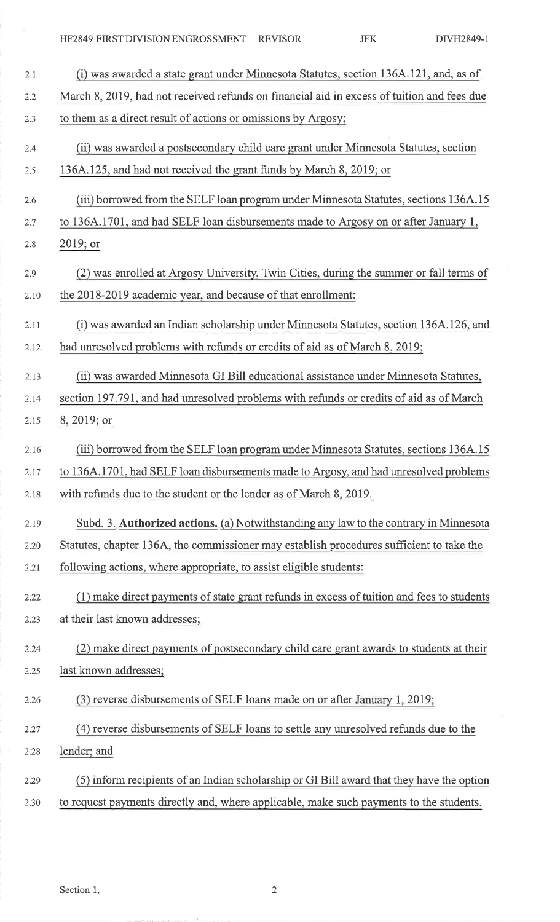## HF2849 FIRSTDTVISIONENGROSSMENT REVISOR

JFK

| 2.1  | (i) was awarded a state grant under Minnesota Statutes, section 136A.121, and, as of       |
|------|--------------------------------------------------------------------------------------------|
| 2.2  | March 8, 2019, had not received refunds on financial aid in excess of tuition and fees due |
| 2.3  | to them as a direct result of actions or omissions by Argosy;                              |
| 2.4  | (ii) was awarded a postsecondary child care grant under Minnesota Statutes, section        |
| 2.5  | 136A.125, and had not received the grant funds by March 8, 2019; or                        |
| 2.6  | (iii) borrowed from the SELF loan program under Minnesota Statutes, sections 136A.15       |
| 2.7  | to 136A.1701, and had SELF loan disbursements made to Argosy on or after January 1,        |
| 2.8  | $2019$ ; or                                                                                |
| 2.9  | (2) was enrolled at Argosy University, Twin Cities, during the summer or fall terms of     |
| 2.10 | the 2018-2019 academic year, and because of that enrollment:                               |
| 2.11 | (i) was awarded an Indian scholarship under Minnesota Statutes, section 136A.126, and      |
| 2.12 | had unresolved problems with refunds or credits of aid as of March 8, 2019;                |
| 2.13 | (ii) was awarded Minnesota GI Bill educational assistance under Minnesota Statutes,        |
| 2.14 | section 197.791, and had unresolved problems with refunds or credits of aid as of March    |
| 2.15 | 8, 2019; or                                                                                |
| 2.16 | (iii) borrowed from the SELF loan program under Minnesota Statutes, sections 136A.15       |
| 2.17 | to 136A.1701, had SELF loan disbursements made to Argosy, and had unresolved problems      |
| 2.18 | with refunds due to the student or the lender as of March 8, 2019.                         |
| 2.19 | Subd. 3. Authorized actions. (a) Notwithstanding any law to the contrary in Minnesota      |
| 2.20 | Statutes, chapter 136A, the commissioner may establish procedures sufficient to take the   |
| 2.21 | following actions, where appropriate, to assist eligible students:                         |
| 2.22 | (1) make direct payments of state grant refunds in excess of tuition and fees to students  |
| 2.23 | at their last known addresses;                                                             |
| 2.24 | (2) make direct payments of postsecondary child care grant awards to students at their     |
| 2.25 | last known addresses;                                                                      |
| 2.26 | (3) reverse disbursements of SELF loans made on or after January 1, 2019;                  |
| 2.27 | (4) reverse disbursements of SELF loans to settle any unresolved refunds due to the        |
| 2.28 | lender; and                                                                                |
| 2.29 | (5) inform recipients of an Indian scholarship or GI Bill award that they have the option  |
| 2.30 | to request payments directly and, where applicable, make such payments to the students.    |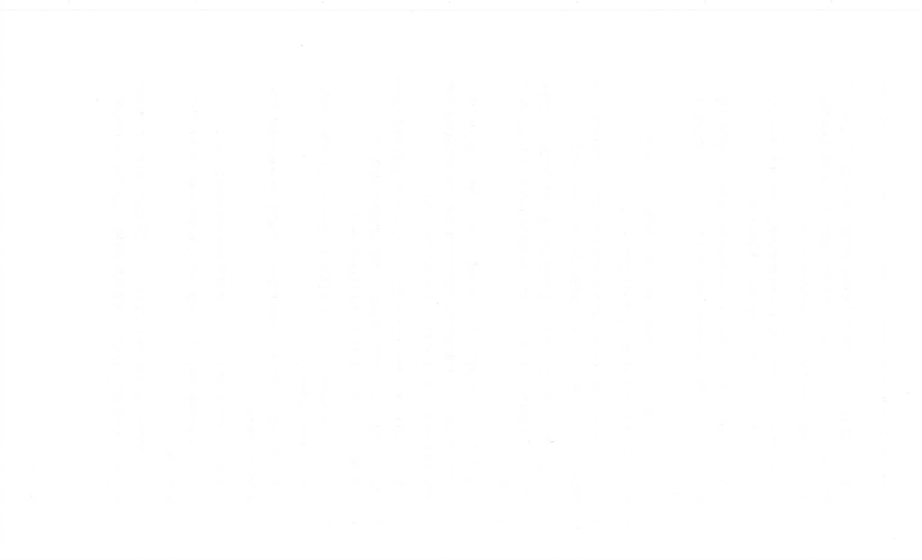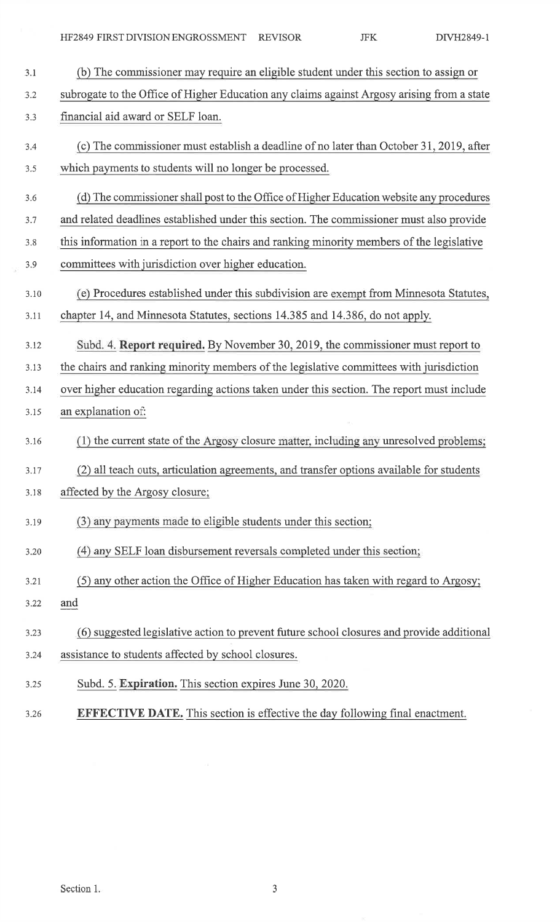| 3.1  | (b) The commissioner may require an eligible student under this section to assign or       |
|------|--------------------------------------------------------------------------------------------|
| 3.2  | subrogate to the Office of Higher Education any claims against Argosy arising from a state |
| 3.3  | financial aid award or SELF loan.                                                          |
| 3.4  | (c) The commissioner must establish a deadline of no later than October 31, 2019, after    |
| 3.5  | which payments to students will no longer be processed.                                    |
| 3.6  | (d) The commissioner shall post to the Office of Higher Education website any procedures   |
| 3.7  | and related deadlines established under this section. The commissioner must also provide   |
| 3.8  | this information in a report to the chairs and ranking minority members of the legislative |
| 3.9  | committees with jurisdiction over higher education.                                        |
| 3.10 | (e) Procedures established under this subdivision are exempt from Minnesota Statutes,      |
| 3.11 | chapter 14, and Minnesota Statutes, sections 14.385 and 14.386, do not apply.              |
| 3.12 | Subd. 4. Report required. By November 30, 2019, the commissioner must report to            |
| 3.13 | the chairs and ranking minority members of the legislative committees with jurisdiction    |
| 3.14 | over higher education regarding actions taken under this section. The report must include  |
| 3.15 | an explanation of:                                                                         |
| 3.16 | (1) the current state of the Argosy closure matter, including any unresolved problems;     |
| 3.17 | (2) all teach outs, articulation agreements, and transfer options available for students   |
| 3.18 | affected by the Argosy closure;                                                            |
| 3.19 | (3) any payments made to eligible students under this section;                             |
| 3.20 | (4) any SELF loan disbursement reversals completed under this section;                     |
| 3.21 | (5) any other action the Office of Higher Education has taken with regard to Argosy;       |
| 3.22 | and                                                                                        |
| 3.23 | (6) suggested legislative action to prevent future school closures and provide additional  |
| 3.24 | assistance to students affected by school closures.                                        |
| 3.25 | Subd. 5. Expiration. This section expires June 30, 2020.                                   |
| 3.26 | <b>EFFECTIVE DATE.</b> This section is effective the day following final enactment.        |

 $\mathcal{S}$